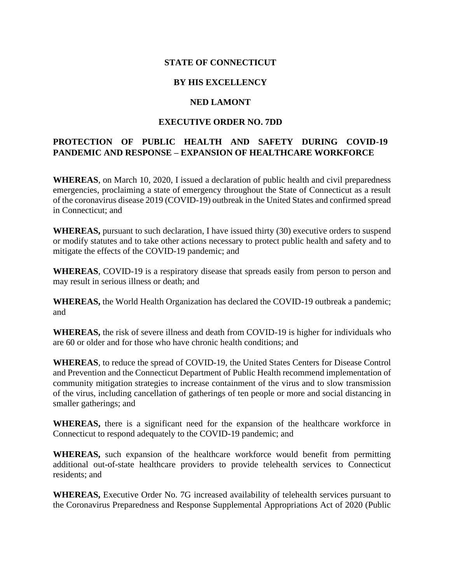# **STATE OF CONNECTICUT**

## **BY HIS EXCELLENCY**

#### **NED LAMONT**

## **EXECUTIVE ORDER NO. 7DD**

# **PROTECTION OF PUBLIC HEALTH AND SAFETY DURING COVID-19 PANDEMIC AND RESPONSE – EXPANSION OF HEALTHCARE WORKFORCE**

**WHEREAS**, on March 10, 2020, I issued a declaration of public health and civil preparedness emergencies, proclaiming a state of emergency throughout the State of Connecticut as a result of the coronavirus disease 2019 (COVID-19) outbreak in the United States and confirmed spread in Connecticut; and

**WHEREAS,** pursuant to such declaration, I have issued thirty (30) executive orders to suspend or modify statutes and to take other actions necessary to protect public health and safety and to mitigate the effects of the COVID-19 pandemic; and

**WHEREAS**, COVID-19 is a respiratory disease that spreads easily from person to person and may result in serious illness or death; and

**WHEREAS,** the World Health Organization has declared the COVID-19 outbreak a pandemic; and

**WHEREAS,** the risk of severe illness and death from COVID-19 is higher for individuals who are 60 or older and for those who have chronic health conditions; and

**WHEREAS**, to reduce the spread of COVID-19, the United States Centers for Disease Control and Prevention and the Connecticut Department of Public Health recommend implementation of community mitigation strategies to increase containment of the virus and to slow transmission of the virus, including cancellation of gatherings of ten people or more and social distancing in smaller gatherings; and

**WHEREAS,** there is a significant need for the expansion of the healthcare workforce in Connecticut to respond adequately to the COVID-19 pandemic; and

**WHEREAS,** such expansion of the healthcare workforce would benefit from permitting additional out-of-state healthcare providers to provide telehealth services to Connecticut residents; and

**WHEREAS,** Executive Order No. 7G increased availability of telehealth services pursuant to the Coronavirus Preparedness and Response Supplemental Appropriations Act of 2020 (Public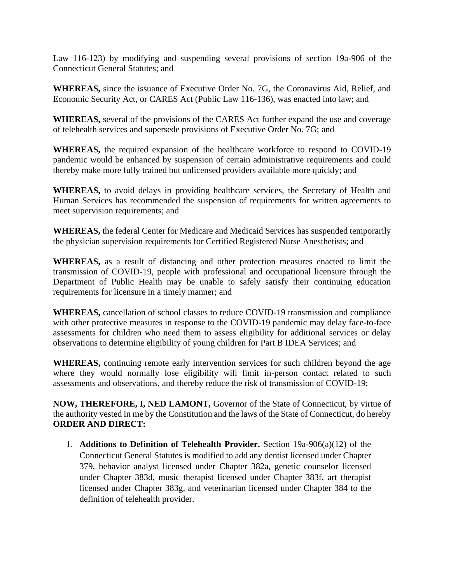Law 116-123) by modifying and suspending several provisions of section 19a-906 of the Connecticut General Statutes; and

**WHEREAS,** since the issuance of Executive Order No. 7G, the Coronavirus Aid, Relief, and Economic Security Act, or CARES Act (Public Law 116-136), was enacted into law; and

**WHEREAS,** several of the provisions of the CARES Act further expand the use and coverage of telehealth services and supersede provisions of Executive Order No. 7G; and

**WHEREAS,** the required expansion of the healthcare workforce to respond to COVID-19 pandemic would be enhanced by suspension of certain administrative requirements and could thereby make more fully trained but unlicensed providers available more quickly; and

**WHEREAS,** to avoid delays in providing healthcare services, the Secretary of Health and Human Services has recommended the suspension of requirements for written agreements to meet supervision requirements; and

**WHEREAS,** the federal Center for Medicare and Medicaid Services has suspended temporarily the physician supervision requirements for Certified Registered Nurse Anesthetists; and

**WHEREAS,** as a result of distancing and other protection measures enacted to limit the transmission of COVID-19, people with professional and occupational licensure through the Department of Public Health may be unable to safely satisfy their continuing education requirements for licensure in a timely manner; and

**WHEREAS,** cancellation of school classes to reduce COVID-19 transmission and compliance with other protective measures in response to the COVID-19 pandemic may delay face-to-face assessments for children who need them to assess eligibility for additional services or delay observations to determine eligibility of young children for Part B IDEA Services; and

**WHEREAS,** continuing remote early intervention services for such children beyond the age where they would normally lose eligibility will limit in-person contact related to such assessments and observations, and thereby reduce the risk of transmission of COVID-19;

**NOW, THEREFORE, I, NED LAMONT,** Governor of the State of Connecticut, by virtue of the authority vested in me by the Constitution and the laws of the State of Connecticut, do hereby **ORDER AND DIRECT:**

1. **Additions to Definition of Telehealth Provider.** Section 19a-906(a)(12) of the Connecticut General Statutes is modified to add any dentist licensed under Chapter 379, behavior analyst licensed under Chapter 382a, genetic counselor licensed under Chapter 383d, music therapist licensed under Chapter 383f, art therapist licensed under Chapter 383g, and veterinarian licensed under Chapter 384 to the definition of telehealth provider.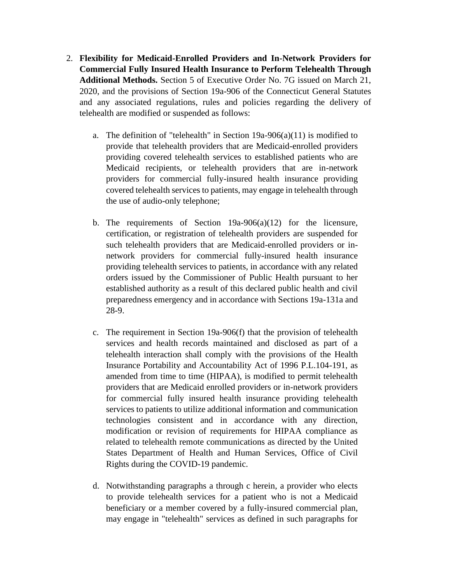- 2. **Flexibility for Medicaid-Enrolled Providers and In-Network Providers for Commercial Fully Insured Health Insurance to Perform Telehealth Through Additional Methods.** Section 5 of Executive Order No. 7G issued on March 21, 2020, and the provisions of Section 19a-906 of the Connecticut General Statutes and any associated regulations, rules and policies regarding the delivery of telehealth are modified or suspended as follows:
	- a. The definition of "telehealth" in Section  $19a-906(a)(11)$  is modified to provide that telehealth providers that are Medicaid-enrolled providers providing covered telehealth services to established patients who are Medicaid recipients, or telehealth providers that are in-network providers for commercial fully-insured health insurance providing covered telehealth services to patients, may engage in telehealth through the use of audio-only telephone;
	- b. The requirements of Section  $19a-906(a)(12)$  for the licensure, certification, or registration of telehealth providers are suspended for such telehealth providers that are Medicaid-enrolled providers or innetwork providers for commercial fully-insured health insurance providing telehealth services to patients, in accordance with any related orders issued by the Commissioner of Public Health pursuant to her established authority as a result of this declared public health and civil preparedness emergency and in accordance with Sections 19a-131a and 28-9.
	- c. The requirement in Section 19a-906(f) that the provision of telehealth services and health records maintained and disclosed as part of a telehealth interaction shall comply with the provisions of the Health Insurance Portability and Accountability Act of 1996 P.L.104-191, as amended from time to time (HIPAA), is modified to permit telehealth providers that are Medicaid enrolled providers or in-network providers for commercial fully insured health insurance providing telehealth services to patients to utilize additional information and communication technologies consistent and in accordance with any direction, modification or revision of requirements for HIPAA compliance as related to telehealth remote communications as directed by the United States Department of Health and Human Services, Office of Civil Rights during the COVID-19 pandemic.
	- d. Notwithstanding paragraphs a through c herein, a provider who elects to provide telehealth services for a patient who is not a Medicaid beneficiary or a member covered by a fully-insured commercial plan, may engage in "telehealth" services as defined in such paragraphs for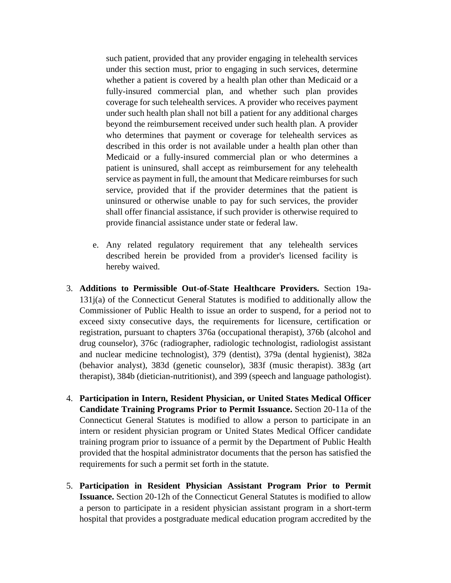such patient, provided that any provider engaging in telehealth services under this section must, prior to engaging in such services, determine whether a patient is covered by a health plan other than Medicaid or a fully-insured commercial plan, and whether such plan provides coverage for such telehealth services. A provider who receives payment under such health plan shall not bill a patient for any additional charges beyond the reimbursement received under such health plan. A provider who determines that payment or coverage for telehealth services as described in this order is not available under a health plan other than Medicaid or a fully-insured commercial plan or who determines a patient is uninsured, shall accept as reimbursement for any telehealth service as payment in full, the amount that Medicare reimburses for such service, provided that if the provider determines that the patient is uninsured or otherwise unable to pay for such services, the provider shall offer financial assistance, if such provider is otherwise required to provide financial assistance under state or federal law.

- e. Any related regulatory requirement that any telehealth services described herein be provided from a provider's licensed facility is hereby waived.
- 3. **Additions to Permissible Out-of-State Healthcare Providers.** Section 19a-131j(a) of the Connecticut General Statutes is modified to additionally allow the Commissioner of Public Health to issue an order to suspend, for a period not to exceed sixty consecutive days, the requirements for licensure, certification or registration, pursuant to chapters 376a (occupational therapist), 376b (alcohol and drug counselor), 376c (radiographer, radiologic technologist, radiologist assistant and nuclear medicine technologist), 379 (dentist), 379a (dental hygienist), 382a (behavior analyst), 383d (genetic counselor), 383f (music therapist). 383g (art therapist), 384b (dietician-nutritionist), and 399 (speech and language pathologist).
- 4. **Participation in Intern, Resident Physician, or United States Medical Officer Candidate Training Programs Prior to Permit Issuance.** Section 20-11a of the Connecticut General Statutes is modified to allow a person to participate in an intern or resident physician program or United States Medical Officer candidate training program prior to issuance of a permit by the Department of Public Health provided that the hospital administrator documents that the person has satisfied the requirements for such a permit set forth in the statute.
- 5. **Participation in Resident Physician Assistant Program Prior to Permit Issuance.** Section 20-12h of the Connecticut General Statutes is modified to allow a person to participate in a resident physician assistant program in a short-term hospital that provides a postgraduate medical education program accredited by the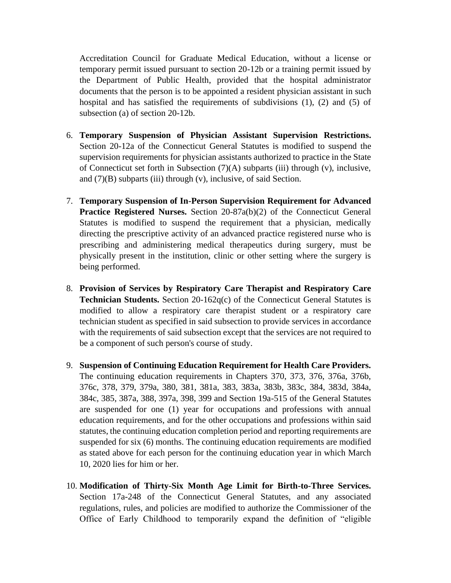Accreditation Council for Graduate Medical Education, without a license or temporary permit issued pursuant to section 20-12b or a training permit issued by the Department of Public Health, provided that the hospital administrator documents that the person is to be appointed a resident physician assistant in such hospital and has satisfied the requirements of subdivisions (1), (2) and (5) of subsection (a) of section 20-12b.

- 6. **Temporary Suspension of Physician Assistant Supervision Restrictions.** Section 20-12a of the Connecticut General Statutes is modified to suspend the supervision requirements for physician assistants authorized to practice in the State of Connecticut set forth in Subsection (7)(A) subparts (iii) through (v), inclusive, and  $(7)(B)$  subparts (iii) through (v), inclusive, of said Section.
- 7. **Temporary Suspension of In-Person Supervision Requirement for Advanced Practice Registered Nurses.** Section 20-87a(b)(2) of the Connecticut General Statutes is modified to suspend the requirement that a physician, medically directing the prescriptive activity of an advanced practice registered nurse who is prescribing and administering medical therapeutics during surgery, must be physically present in the institution, clinic or other setting where the surgery is being performed.
- 8. **Provision of Services by Respiratory Care Therapist and Respiratory Care Technician Students.** Section 20-162q(c) of the Connecticut General Statutes is modified to allow a respiratory care therapist student or a respiratory care technician student as specified in said subsection to provide services in accordance with the requirements of said subsection except that the services are not required to be a component of such person's course of study.
- 9. **Suspension of Continuing Education Requirement for Health Care Providers.** The continuing education requirements in Chapters 370, 373, 376, 376a, 376b, 376c, 378, 379, 379a, 380, 381, 381a, 383, 383a, 383b, 383c, 384, 383d, 384a, 384c, 385, 387a, 388, 397a, 398, 399 and Section 19a-515 of the General Statutes are suspended for one (1) year for occupations and professions with annual education requirements, and for the other occupations and professions within said statutes, the continuing education completion period and reporting requirements are suspended for six (6) months. The continuing education requirements are modified as stated above for each person for the continuing education year in which March 10, 2020 lies for him or her.
- 10. **Modification of Thirty-Six Month Age Limit for Birth-to-Three Services.** Section 17a-248 of the Connecticut General Statutes, and any associated regulations, rules, and policies are modified to authorize the Commissioner of the Office of Early Childhood to temporarily expand the definition of "eligible